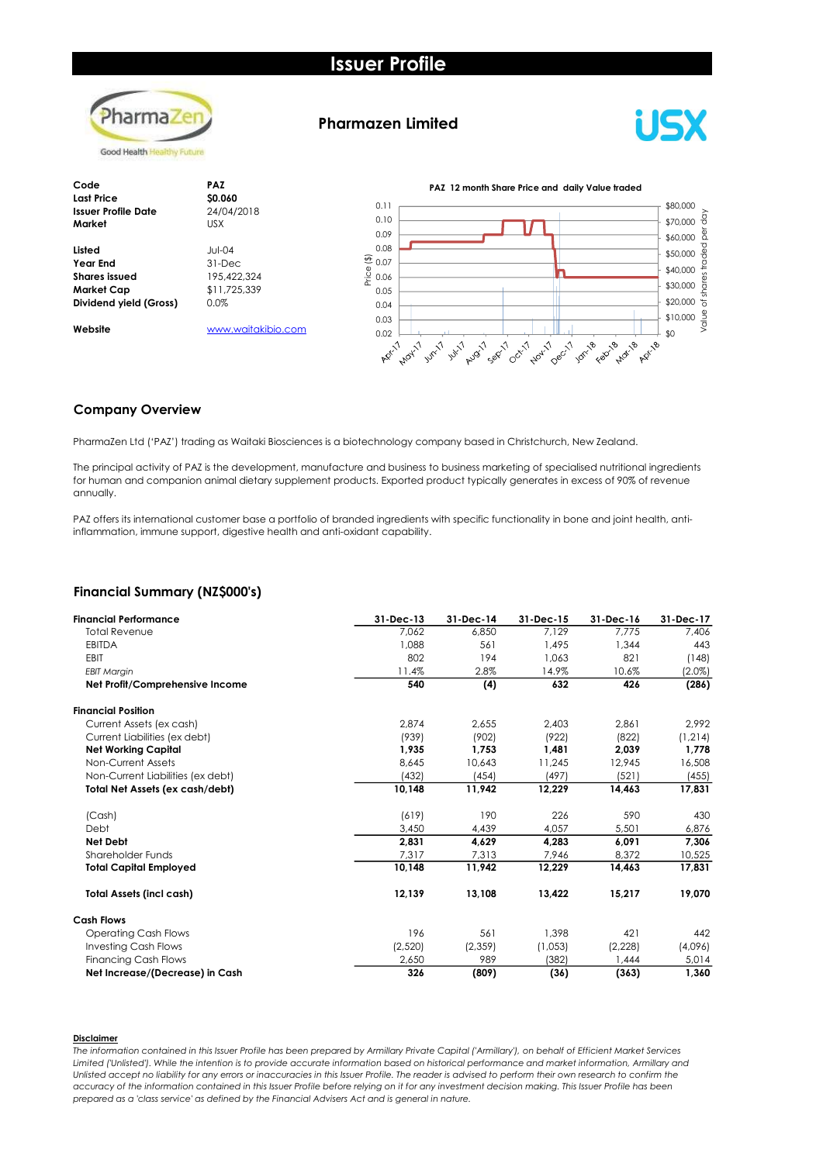# Issuer Profile



### Company Overview

PharmaZen Ltd ('PAZ') trading as Waitaki Biosciences is a biotechnology company based in Christchurch, New Zealand.

The principal activity of PAZ is the development, manufacture and business to business marketing of specialised nutritional ingredients for human and companion animal dietary supplement products. Exported product typically generates in excess of 90% of revenue annually.

\$0 \$10,000 \$20,000 \$30,000 \$40,000 \$50,000 \$60,000  $$70,000$   $\overline{9}$ \$80,000

PAZ offers its international customer base a portfolio of branded ingredients with specific functionality in bone and joint health, antiinflammation, immune support, digestive health and anti-oxidant capability.

#### Financial Summary (NZ\$000's)

| <b>Financial Performance</b>      | 31-Dec-13 | 31-Dec-14 | 31-Dec-15 | 31-Dec-16 | 31-Dec-17 |
|-----------------------------------|-----------|-----------|-----------|-----------|-----------|
| <b>Total Revenue</b>              | 7,062     | 6,850     | 7.129     | 7.775     | 7,406     |
| <b>EBITDA</b>                     | 1.088     | 561       | 1.495     | 1,344     | 443       |
| <b>EBIT</b>                       | 802       | 194       | 1.063     | 821       | (148)     |
| <b>EBIT Margin</b>                | 11.4%     | 2.8%      | 14.9%     | 10.6%     | $(2.0\%)$ |
| Net Profit/Comprehensive Income   | 540       | (4)       | 632       | 426       | (286)     |
| <b>Financial Position</b>         |           |           |           |           |           |
| Current Assets (ex cash)          | 2.874     | 2,655     | 2,403     | 2,861     | 2,992     |
| Current Liabilities (ex debt)     | (939)     | (902)     | (922)     | (822)     | (1, 214)  |
| <b>Net Working Capital</b>        | 1,935     | 1,753     | 1,481     | 2,039     | 1,778     |
| Non-Current Assets                | 8,645     | 10,643    | 11,245    | 12,945    | 16,508    |
| Non-Current Liabilities (ex debt) | (432)     | (454)     | (497)     | (521)     | (455)     |
| Total Net Assets (ex cash/debt)   | 10,148    | 11,942    | 12,229    | 14,463    | 17,831    |
| (Cash)                            | (619)     | 190       | 226       | 590       | 430       |
| Debt                              | 3.450     | 4.439     | 4.057     | 5,501     | 6,876     |
| <b>Net Debt</b>                   | 2,831     | 4,629     | 4,283     | 6,091     | 7,306     |
| Shareholder Funds                 | 7,317     | 7,313     | 7,946     | 8,372     | 10,525    |
| <b>Total Capital Employed</b>     | 10,148    | 11,942    | 12,229    | 14,463    | 17,831    |
| <b>Total Assets (incl cash)</b>   | 12,139    | 13,108    | 13,422    | 15,217    | 19,070    |
| <b>Cash Flows</b>                 |           |           |           |           |           |
| <b>Operating Cash Flows</b>       | 196       | 561       | 1,398     | 421       | 442       |
| <b>Investing Cash Flows</b>       | (2,520)   | (2,359)   | (1,053)   | (2, 228)  | (4,096)   |
| <b>Financing Cash Flows</b>       | 2,650     | 989       | (382)     | 1,444     | 5,014     |
| Net Increase/(Decrease) in Cash   | 326       | (809)     | (36)      | (363)     | 1,360     |

#### **Disclaimer**

The information contained in this Issuer Profile has been prepared by Armillary Private Capital ('Armillary'), on behalf of Efficient Market Services Limited ('Unlisted'). While the intention is to provide accurate information based on historical performance and market information, Armillary and Unlisted accept no liability for any errors or inaccuracies in this Issuer Profile. The reader is advised to perform their own research to confirm the accuracy of the information contained in this Issuer Profile before relying on it for any investment decision making. This Issuer Profile has been prepared as a 'class service' as defined by the Financial Advisers Act and is general in nature.